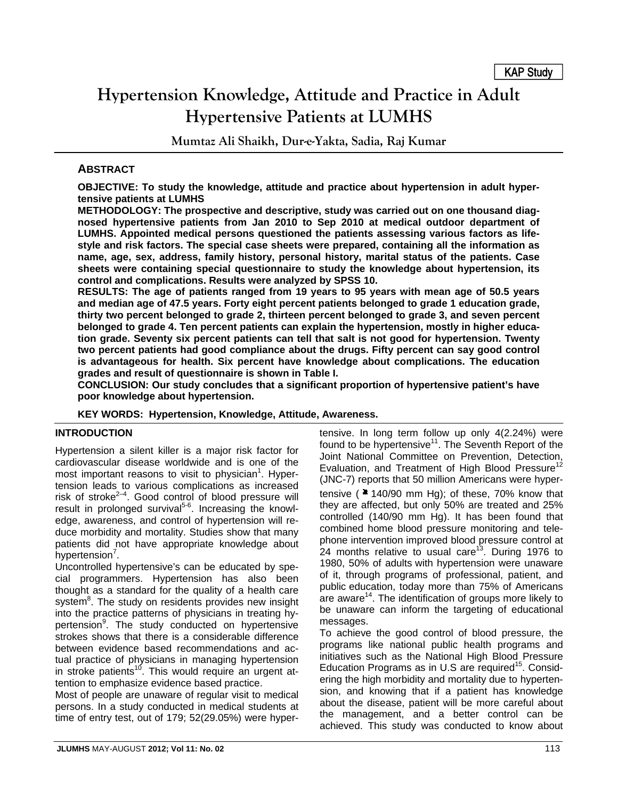# **Hypertension Knowledge, Attitude and Practice in Adult Hypertensive Patients at LUMHS**

**Mumtaz Ali Shaikh, Dur-e-Yakta, Sadia, Raj Kumar** 

## **ABSTRACT**

**OBJECTIVE: To study the knowledge, attitude and practice about hypertension in adult hypertensive patients at LUMHS** 

**METHODOLOGY: The prospective and descriptive, study was carried out on one thousand diagnosed hypertensive patients from Jan 2010 to Sep 2010 at medical outdoor department of LUMHS. Appointed medical persons questioned the patients assessing various factors as lifestyle and risk factors. The special case sheets were prepared, containing all the information as name, age, sex, address, family history, personal history, marital status of the patients. Case sheets were containing special questionnaire to study the knowledge about hypertension, its control and complications. Results were analyzed by SPSS 10.** 

**RESULTS: The age of patients ranged from 19 years to 95 years with mean age of 50.5 years and median age of 47.5 years. Forty eight percent patients belonged to grade 1 education grade, thirty two percent belonged to grade 2, thirteen percent belonged to grade 3, and seven percent belonged to grade 4. Ten percent patients can explain the hypertension, mostly in higher education grade. Seventy six percent patients can tell that salt is not good for hypertension. Twenty two percent patients had good compliance about the drugs. Fifty percent can say good control is advantageous for health. Six percent have knowledge about complications. The education grades and result of questionnaire is shown in Table I.** 

**CONCLUSION: Our study concludes that a significant proportion of hypertensive patient's have poor knowledge about hypertension.** 

**KEY WORDS: Hypertension, Knowledge, Attitude, Awareness.**

## **INTRODUCTION**

Hypertension a silent killer is a major risk factor for cardiovascular disease worldwide and is one of the most important reasons to visit to physician<sup>1</sup>. Hypertension leads to various complications as increased risk of stroke $2-4$ . Good control of blood pressure will result in prolonged survival<sup>5-6</sup>. Increasing the knowledge, awareness, and control of hypertension will reduce morbidity and mortality. Studies show that many patients did not have appropriate knowledge about .<br>hypertension<sup>7</sup>.

Uncontrolled hypertensive's can be educated by special programmers. Hypertension has also been thought as a standard for the quality of a health care system<sup>8</sup>. The study on residents provides new insight into the practice patterns of physicians in treating hypertension<sup>9</sup>. The study conducted on hypertensive strokes shows that there is a considerable difference between evidence based recommendations and actual practice of physicians in managing hypertension in stroke patients<sup>10</sup>. This would require an urgent attention to emphasize evidence based practice.

Most of people are unaware of regular visit to medical persons. In a study conducted in medical students at time of entry test, out of 179; 52(29.05%) were hypertensive. In long term follow up only 4(2.24%) were found to be hypertensive<sup>11</sup>. The Seventh Report of the Joint National Committee on Prevention, Detection, Evaluation, and Treatment of High Blood Pressure<sup>12</sup> (JNC-7) reports that 50 million Americans were hypertensive ( $240/90$  mm Hg); of these, 70% know that they are affected, but only 50% are treated and 25% controlled (140/90 mm Hg). It has been found that combined home blood pressure monitoring and telephone intervention improved blood pressure control at 24 months relative to usual care<sup>13</sup>. During 1976 to 1980, 50% of adults with hypertension were unaware of it, through programs of professional, patient, and public education, today more than 75% of Americans are aware<sup>14</sup>. The identification of groups more likely to be unaware can inform the targeting of educational messages.

To achieve the good control of blood pressure, the programs like national public health programs and initiatives such as the National High Blood Pressure Education Programs as in U.S are required<sup>15</sup>. Considering the high morbidity and mortality due to hypertension, and knowing that if a patient has knowledge about the disease, patient will be more careful about the management, and a better control can be achieved. This study was conducted to know about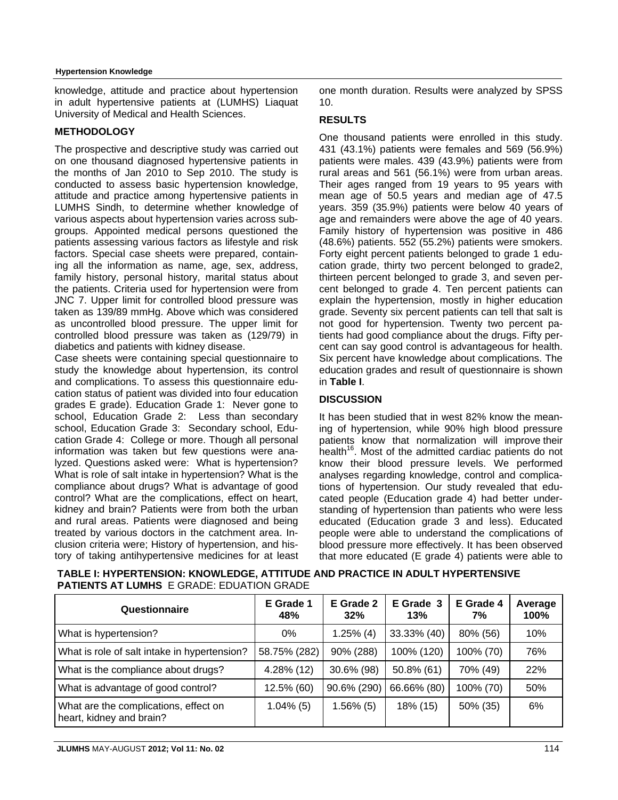#### **Hypertension Knowledge**

knowledge, attitude and practice about hypertension in adult hypertensive patients at (LUMHS) Liaquat University of Medical and Health Sciences.

## **METHODOLOGY**

The prospective and descriptive study was carried out on one thousand diagnosed hypertensive patients in the months of Jan 2010 to Sep 2010. The study is conducted to assess basic hypertension knowledge, attitude and practice among hypertensive patients in LUMHS Sindh, to determine whether knowledge of various aspects about hypertension varies across subgroups. Appointed medical persons questioned the patients assessing various factors as lifestyle and risk factors. Special case sheets were prepared, containing all the information as name, age, sex, address, family history, personal history, marital status about the patients. Criteria used for hypertension were from JNC 7. Upper limit for controlled blood pressure was taken as 139/89 mmHg. Above which was considered as uncontrolled blood pressure. The upper limit for controlled blood pressure was taken as (129/79) in diabetics and patients with kidney disease.

Case sheets were containing special questionnaire to study the knowledge about hypertension, its control and complications. To assess this questionnaire education status of patient was divided into four education grades E grade). Education Grade 1: Never gone to school, Education Grade 2: Less than secondary school, Education Grade 3: Secondary school, Education Grade 4: College or more. Though all personal information was taken but few questions were analyzed. Questions asked were: What is hypertension? What is role of salt intake in hypertension? What is the compliance about drugs? What is advantage of good control? What are the complications, effect on heart, kidney and brain? Patients were from both the urban and rural areas. Patients were diagnosed and being treated by various doctors in the catchment area. Inclusion criteria were; History of hypertension, and history of taking antihypertensive medicines for at least one month duration. Results were analyzed by SPSS 10.

### **RESULTS**

One thousand patients were enrolled in this study. 431 (43.1%) patients were females and 569 (56.9%) patients were males. 439 (43.9%) patients were from rural areas and 561 (56.1%) were from urban areas. Their ages ranged from 19 years to 95 years with mean age of 50.5 years and median age of 47.5 years. 359 (35.9%) patients were below 40 years of age and remainders were above the age of 40 years. Family history of hypertension was positive in 486 (48.6%) patients. 552 (55.2%) patients were smokers. Forty eight percent patients belonged to grade 1 education grade, thirty two percent belonged to grade2, thirteen percent belonged to grade 3, and seven percent belonged to grade 4. Ten percent patients can explain the hypertension, mostly in higher education grade. Seventy six percent patients can tell that salt is not good for hypertension. Twenty two percent patients had good compliance about the drugs. Fifty percent can say good control is advantageous for health. Six percent have knowledge about complications. The education grades and result of questionnaire is shown in **Table I**.

## **DISCUSSION**

It has been studied that in west 82% know the meaning of hypertension, while 90% high blood pressure patients know that normalization will improve their health<sup>16</sup>. Most of the admitted cardiac patients do not know their blood pressure levels. We performed analyses regarding knowledge, control and complications of hypertension. Our study revealed that educated people (Education grade 4) had better understanding of hypertension than patients who were less educated (Education grade 3 and less). Educated people were able to understand the complications of blood pressure more effectively. It has been observed that more educated (E grade 4) patients were able to

| Questionnaire                                                     | E Grade 1<br>48% | E Grade 2<br>32% | E Grade 3<br>13% | E Grade 4<br>7% | Average<br>100% |
|-------------------------------------------------------------------|------------------|------------------|------------------|-----------------|-----------------|
| What is hypertension?                                             | $0\%$            | $1.25\%$ (4)     | 33.33% (40)      | 80% (56)        | 10%             |
| What is role of salt intake in hypertension?                      | 58.75% (282)     | 90% (288)        | 100% (120)       | 100% (70)       | 76%             |
| What is the compliance about drugs?                               | 4.28% (12)       | 30.6% (98)       | 50.8% (61)       | 70% (49)        | 22%             |
| What is advantage of good control?                                | 12.5% (60)       | 90.6% (290)      | 66.66% (80)      | 100% (70)       | 50%             |
| What are the complications, effect on<br>heart, kidney and brain? | $1.04\%$ (5)     | $1.56\%$ (5)     | 18% (15)         | 50% (35)        | 6%              |

**TABLE I: HYPERTENSION: KNOWLEDGE, ATTITUDE AND PRACTICE IN ADULT HYPERTENSIVE PATIENTS AT LUMHS** E GRADE: EDUATION GRADE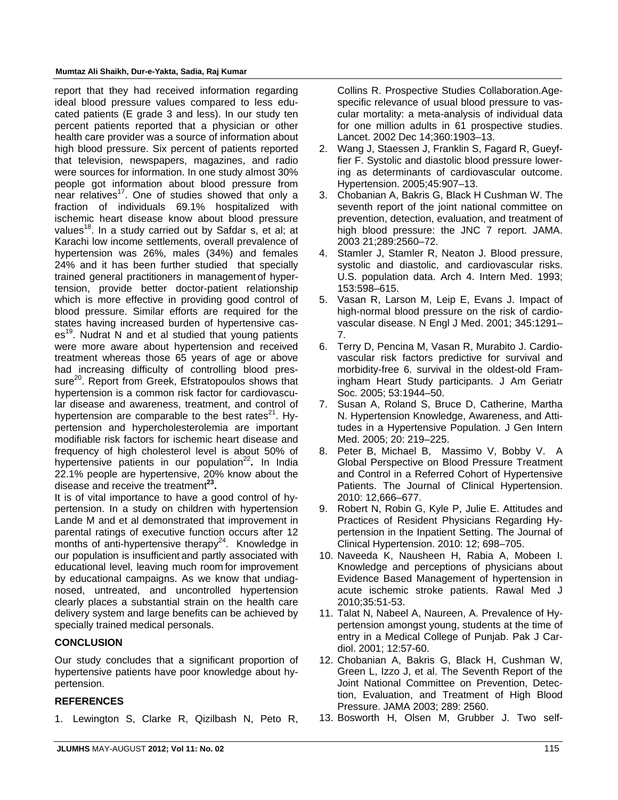#### **Mumtaz Ali Shaikh, Dur-e-Yakta, Sadia, Raj Kumar**

report that they had received information regarding ideal blood pressure values compared to less educated patients (E grade 3 and less). In our study ten percent patients reported that a physician or other health care provider was a source of information about high blood pressure. Six percent of patients reported that television, newspapers, magazines, and radio were sources for information. In one study almost 30% people got information about blood pressure from near relatives<sup>17</sup>. One of studies showed that only a fraction of individuals 69.1% hospitalized with ischemic heart disease know about blood pressure values<sup>18</sup>. In a study carried out by Safdar s, et al; at Karachi low income settlements, overall prevalence of hypertension was 26%, males (34%) and females 24% and it has been further studied that specially trained general practitioners in management of hypertension, provide better doctor-patient relationship which is more effective in providing good control of blood pressure. Similar efforts are required for the states having increased burden of hypertensive cas $es<sup>19</sup>$ . Nudrat N and et al studied that young patients were more aware about hypertension and received treatment whereas those 65 years of age or above had increasing difficulty of controlling blood pressure<sup>20</sup>. Report from Greek, Efstratopoulos shows that hypertension is a common risk factor for cardiovascular disease and awareness, treatment, and control of hypertension are comparable to the best rates $^{21}$ . Hypertension and hypercholesterolemia are important modifiable risk factors for ischemic heart disease and frequency of high cholesterol level is about 50% of hypertensive patients in our population<sup>22</sup>. In India 22.1% people are hypertensive, 20% know about the disease and receive the treatment**23.** 

It is of vital importance to have a good control of hypertension. In a study on children with hypertension Lande M and et al demonstrated that improvement in parental ratings of executive function occurs after 12 months of anti-hypertensive therapy $24$ . Knowledge in our population is insufficient and partly associated with educational level, leaving much room for improvement by educational campaigns. As we know that undiagnosed, untreated, and uncontrolled hypertension clearly places a substantial strain on the health care delivery system and large benefits can be achieved by specially trained medical personals.

# **CONCLUSION**

Our study concludes that a significant proportion of hypertensive patients have poor knowledge about hypertension.

## **REFERENCES**

1. Lewington S, Clarke R, Qizilbash N, Peto R,

Collins R. Prospective Studies Collaboration.Agespecific relevance of usual blood pressure to vascular mortality: a meta-analysis of individual data for one million adults in 61 prospective studies. Lancet. 2002 Dec 14;360:1903–13.

- 2. Wang J, Staessen J, Franklin S, Fagard R, Gueyffier F. Systolic and diastolic blood pressure lowering as determinants of cardiovascular outcome. Hypertension. 2005;45:907–13.
- 3. Chobanian A, Bakris G, Black H Cushman W. The seventh report of the joint national committee on prevention, detection, evaluation, and treatment of high blood pressure: the JNC 7 report. JAMA. 2003 21;289:2560–72.
- 4. Stamler J, Stamler R, Neaton J. Blood pressure, systolic and diastolic, and cardiovascular risks. U.S. population data. Arch 4. Intern Med. 1993; 153:598–615.
- 5. Vasan R, Larson M, Leip E, Evans J. Impact of high-normal blood pressure on the risk of cardiovascular disease. N Engl J Med. 2001; 345:1291– 7.
- 6. Terry D, Pencina M, Vasan R, Murabito J. Cardiovascular risk factors predictive for survival and morbidity-free 6. survival in the oldest-old Framingham Heart Study participants. J Am Geriatr Soc. 2005; 53:1944–50.
- 7. Susan A, Roland S, Bruce D, Catherine, Martha N. Hypertension Knowledge, Awareness, and Attitudes in a Hypertensive Population. J Gen Intern Med. 2005; 20: 219–225.
- 8. Peter B, Michael B, Massimo V, Bobby V. A Global Perspective on Blood Pressure Treatment and Control in a Referred Cohort of Hypertensive Patients. The Journal of Clinical Hypertension. 2010: 12,666–677.
- 9. Robert N, Robin G, Kyle P, Julie E. Attitudes and Practices of Resident Physicians Regarding Hypertension in the Inpatient Setting. The Journal of Clinical Hypertension. 2010: 12; 698–705.
- 10. Naveeda K, Nausheen H, Rabia A, Mobeen I. Knowledge and perceptions of physicians about Evidence Based Management of hypertension in acute ischemic stroke patients. Rawal Med J 2010;35:51-53.
- 11. Talat N, Nabeel A, Naureen, A. Prevalence of Hypertension amongst young, students at the time of entry in a Medical College of Punjab. Pak J Cardiol. 2001; 12:57-60.
- 12. Chobanian A, Bakris G, Black H, Cushman W, Green L, Izzo J, et al. The Seventh Report of the Joint National Committee on Prevention, Detection, Evaluation, and Treatment of High Blood Pressure. JAMA 2003; 289: 2560.
- 13. Bosworth H, Olsen M, Grubber J. Two self-